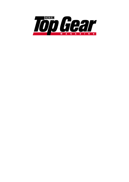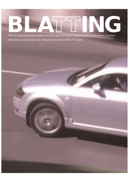## Tiff's first impressions weren't good, but we've given the Audi TT a second chance at the hands of another TT**ING**

driver. We put it to the ideal test: a thrash round the Isle of Man TT course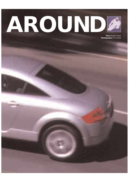

**Story** Angus Frazer **Photography** Jim Forrest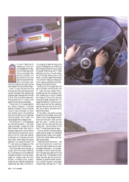



It's only 7.30am but it's shaping up to be a fullon sunglasses sort of day. One of those days when the sun just doesn't stop shining. Excellent. It's also going to be a fine day for enjoying the freedom of the open road.

Here, the roads are still open and the word freedom isn't just a drivers' dream.

'Here' is a very long way from the M25 and as it's May 18, the day of the truckers' blockade, that makes things quadruply good. Because here is the Isle of Man. Here is the thirty-seven-andthree-quarter-mile TT course. Here speed limits are few and far between.

There's more. On Douglas seafront sits today's transport. Crouched between a Renault 5 and a Vauxhall Corsa, it looks as though it's come from another world, like something that's just tumbled out of a Saturday morning cartoon. But it hasn't. It's simply escaped from a design studio.

This is the Audi TT. It first appeared as a wild and wonderful – but surely never to be made – concept car, at the 1995 Frankfurt Motor Show. Well, it has been made and this, one of the first right-hand-drive production cars to arrive in the UK, looks near identical to that show car. It has done a lot more than merely 'retain several key styling elements', as is usually the case. The TT looks just as outrageous on the road now as it did on the stand then.

There have been some changes, of course, and for the record here they are. The production car has additional triangular windows in the rear pillars, bigger air intakes under the front bumper, a different grille, slightly longer rear end, different tailpipes and repositioned rear lights. And that's it.

I'm not going to dwell too long on the styling. Photographer Jim Forrest has taken enough pictures for you to judge for yourself. Suffice to say, the TT looks absolutely stunning. It's quite clearly one of the best looking cars in the world. If you don't agree, then nothing I can write will make you change your mind; maybe a psychiatrist could help. Anyway, time to go for a drive…

Shuffling out of Douglas with the rest of the early morning traffic, the TT rides the town streets firmly, shuddering over the occasional pothole. Heading out on the A1 towards the village of Union Mills, the ride improves at speed, although the TT's chassis still feels taut. There's too much traffic around and too few overtaking opportunities just now to tell much else, but at least it provides time to examine the interior.

All too often a new sports car looks fantastic from the outside, only for the interior to be a huge disappointment. Some cars have got it right over the past few years – witness the Fiat Coupe, the Lotus Elise and the Alfa Romeo 156 – but the interior of the Audi TT simply blows them all away.

The only criticism is that the steering wheel could be smaller, but otherwise everything else is pretty much perfect. There's lots of black leather and black high-quality plastics.

There's also lots of aluminium… lots and lots of aluminium. Aluminium rings with eight dimples set into each one appear everywhere – on the steering wheel, on the air vents at the bottom of the gear lever gaiter and on the gear lever knob. The glovebox lid and stereo flap also get the aluminium treatment. It gives the interior architecture a slightly exposed, hard-edged industrial feel, although the TT also



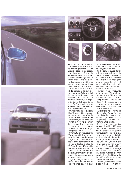







feels very much like a racing car inside.

The instrument dials look great and are perfectly positioned. All the switchgear feels good to use, especially the ventilation controls. To adjust the temperature or the fan, there's no need to swivel the control right round as with most cars. Instead, the control just clicks forward a few millimetres. Some cars have sequential gearchanges: the TT has sequential aircon control.

The two leather-padded struts which link the dashboard to the centre console are also unique. Tall drivers might find that they restrict legroom, but they certainly add to the racing car ambience of the interior, as do the perforated stainless steel, rubber-studded pedals. The final pieces in the racing car jigsaw are the TT's deep dashboard and steeply-raked windscreen.

Driving along the tree-lined stretches of the TT course is at times like travelling through a living tunnel. Where the intertwining leaves and branches overhead are thickest, the Audi's cosy cabin darkens further. But then the sunlight slashes through. It can be instantly blinding, or cause a disorientating strobe effect that must be terrifying on a racing bike at 180mph.

By Ramsey the lowland section of the TT course has finished and the mountain section back to Douglas is about to begin. It's much more open, much easier to overtake and essentially the best place on the island to unleash the TT. Except that 'unleash' may not be quite the right word, for while TT's technical spec is certainly adequate, it isn't quite up to the exotic level suggested by the revolutionary exterior and fantastic interior.

Forget any thoughts about a midmounted V6 with rear-wheel drive and double wishbone suspension all round.



The TT shares its basic floorpan with the Audi A3, SEAT Toledo, VW Golf and Beetle, and Skoda Octavia.

But this is an Audi quattro after all, so the drive goes to all four wheels. The TT's front suspension is MacPherson strut, with a multi-link rear. However, it also gets a sports suspension package along with front and rear anti-roll bars, so it is a lot closer to an Audi S3 under the skin than it is to a Skoda Octavia.

The flagship model – the £29,650 version – produces 225bhp, but that's a few weeks away yet. This is the more affordable, less powerful, £26,645, 180bhp machine. It gets the same 1781cc, 20-valve twin-cam engine as its big brother, but has to make do with a smaller turbocharger and one intercooler instead of two.

So, as I line up the TT for the long uphill climb from Ramsey, I'm in two minds. As this is the lower-powered version it might be just a little bit disappointing… but then again, 180bhp has just got to be fun.

It has to be said, from a standing start, especially uphill, the TT's engine doesn't feel electrifyingly fast. Nor is there any evidence of the gorgeous Porsche Boxster-type wail that its looks hint at. In fact, the four-cylinder turbo sounds just a little bit flat and dull, even harsh, in first and second gears.

Not unlike the S3, the TT does its best and most refined work in fourth and fifth. There's certainly no hint of turbo lag, and in fact the turbocharger would be hard to spot if you didn't know it was there. In-gear acceleration is good, but in a straight line on the flat the TT's performance is nothing more than reasonably brisk.

Thankfully, the five-speed gearbox is good, with a solid, direct throw,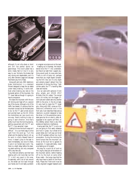





although it's not ultra sharp or short and isn't the perfect sports car gearchange. The clutch pedal has a solid, meaty feel to it but it is very easy to use. Similarly the brakes feel very strong and dependable, and it's only after extreme usage and abusage that there's any hint of fade.

Along with anti-lock, EBD (electronic brake distribution) is a standard fitment designed to keep the car stable under heavy braking. It works well. Even when braking very late on the bumpiest section of the mountain, the TT never feels as though it is going to lose its composure.

We leave the mountain with the sun still shining and head off on a second lap of the course. Although a lot of the traffic has cleared, it's obvious that the mountain course is by far the best place to be. So the TT gets turned around and pointed back up the hill. While the motorbikes can race round only one way, there's nothing to stop us going in each direction. And that's pretty much how the morning slips by, getting acquainted with the TT and the TT, if you see what I mean.

Getting to know the Audi's ways isn't difficult – it's a car that's easy to drive right from the word go. Turn the wheel and the steering likes to roll up for work in a fairly relaxed frame of mind. It doesn't jump to the task in hand immediately, but once it's there, it puts in an honest day's work. Yes, there is a slight delay before the steering starts working, but only compared with a very few cars.

Yes, there are certainly cars that have steering with a bit more feel, but the TT is still very good in this area. Occasionally, with a lot of lock wound on, the wheel can kick back through your hands, but it's not really a problem

or a regular occurrence out on the road. Heading out of Ramsey, the hairpin bends force the TT into understeer, but they're so tight that I suspect anything would push its nose wide here. There is a bit of body roll, perhaps more than you might expect considering the firm ride, but it's only slight and certainly doesn't detract from the enjoyment of driving the thing. Tight corners aside, the TT's handling feels clean and neutral.

Our car came with optional 17-inch alloy wheels and  $225/45$  ZR17 Michelin Pilot SX rubber. The normal size is 16 inches, but the bigger 17 inch tyres and rubber add only another £605 to the price. In the dry at least, it's very hard to make the TT break grip. Along with EBD comes an EDL (electronic differential lock) in the front axle. Audi describes these aids as 'electronic co-pilots' designed to help the driver. Is it the automotive nannystate gone too far on what is, after all, supposed to be a sports car? Well, on this 180bhp version there is very little evidence of electronic interference.

Having said that, the TT is not a car you are going to flick easily sideways and hold in great, four-wheel-drive power slides, but it will pop out its tail on lift-off oversteer without too much provocation. During the morning the worst bumps that the mountain can throw at the Audi fail to agitate its suspension. It copes admirably, never once feeling out of its depth.

We stop for a quick bit of lunch at the Creg Ny Baa pub at the bottom of the mountain section, before heading off to try the Audi on some other Manx roads – the lumpy type that the rally boys have to tackle on the Manx Rally. Places like Tholt-e-will must be a rally engineer's biggest headache and



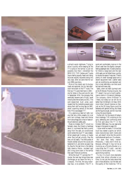







a driver's worst nightmare. Trying to drive it quickly while keeping all the TT's tyres on the tarmac is just not possible. But then I remember the BMW M3, TVR Cerbera and Toyota Supra feeling equally fazed and being bounced equally skywards along this very road, when we came here for our July 1996 cover story.

More of the island and its bumpy roads are explored, but by late afternoon we're back on the TT route. The first two TTs were held here in 1905 – one for bikes in May and one for cars in September. NSU, the company that eventually became part of Audi, raced motorcycles here as early as 1911. The well-researched Audi press pack reveals that the marketing people were doing their stuff as long ago as 1967, when a sporting version of the small NSU Prinz was badged 'TT'.

It's a glamorous label all right, but one that sits a little uneasily on a car with twin airbags, head and thorax front side airbags and a host of state-ofthe-art electronic safety aids.

Make no mistake, the TT circuit is a fantastic place. But there's a hardness about it, a primeval feel that's a world away from the safe, air-conditioned world where the Audi TT was created. When people get it wrong, or maybe when they just get unlucky, they die here, all too easily. The little posies of flowers dotted around the course are testament to it, and when we pass Creg Ny Baa for the last time in the fading light, there's a 'Police – Accident' sign and a long score mark in the tarmac that wasn't there at lunchtime.

While the Audi TT survives the TT course, the next day brings three new challenges as we leave the ferry in Liverpool. The first, the long motorway haul, is no problem. The TT is quiet and comfortable, more so in the driver's seat than the slightly crampedfeeling passenger side. It's even practical, for there's a large boot and the rear child seats can be folded down quickly to double the space if required. There's plenty of clever stowage space and a decent equipment level. Leather seats and air-conditioning are standard and this is most definitely a car that could be lived with every day.

Sadly, when we reach journey's end at the Millbrook Proving Ground, the TT doesn't live up to Audi's performance claims in its second challenge. The company claims 0-62mph in 7.4secs, but today our car will do no better than hit 60mph in 8.7secs. With more miles it should improve on that, just as the 20.1mpg figure could be bettered with gentler driving. But these are the figures we get, and for now that is how the record stands.

Further still, for the record of today's final challenge, Tiff is sticking to his guns, defending and confirming what he first said about the TT in the October 1998 issue. You can read what he says in the panel on page 133.

I know what he means. It is true that Audi has created a sports car which looks revolutionary both inside and out, yet doesn't drive like the world's most advanced sports car. It's a shame.

But does that really matter? Personally, I really don't think so. Because, although it may not be as involving as a Porsche Boxster or a Lotus Elise, the  $TT$  is still – and let's make no bones about this – a very good driving machine.

To me, it is much more desirable overall than either a Boxster or an Elise. It's not just the looks alone that give it that attraction, but the feel and the quality of the inside too. Tiff is